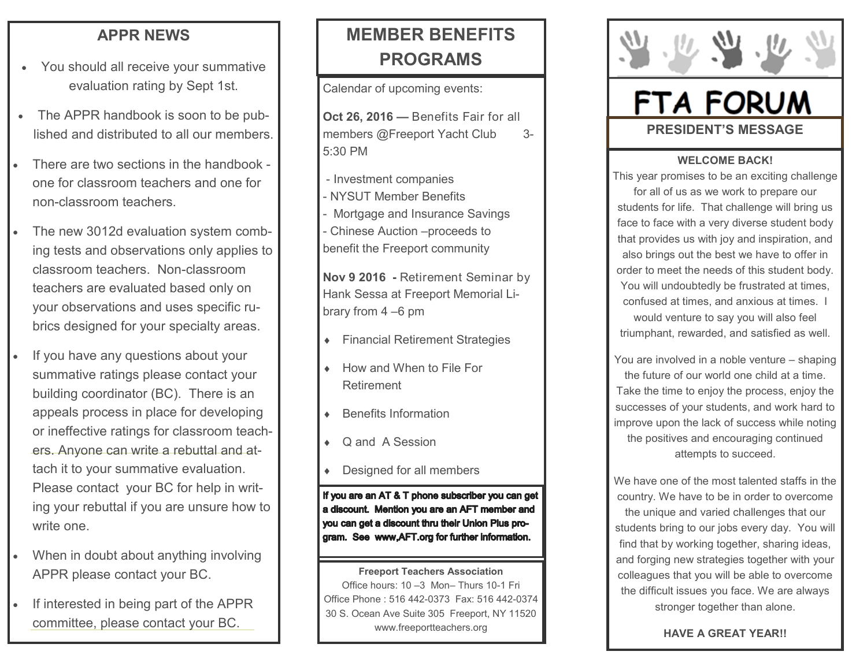## **APPR NEWS**

- You should all receive your summative evaluation rating by Sept 1st.
- The APPR handbook is soon to be published and distributed to all our members.
- There are two sections in the handbook one for classroom teachers and one for non-classroom teachers.
- The new 3012d evaluation system combing tests and observations only applies to classroom teachers. Non-classroom teachers are evaluated based only on your observations and uses specific rubrics designed for your specialty areas.
- If you have any questions about your summative ratings please contact your building coordinator (BC). There is an appeals process in place for developing or ineffective ratings for classroom teachers. Anyone can write a rebuttal and attach it to your summative evaluation. Please contact your BC for help in writing your rebuttal if you are unsure how to write one.
- When in doubt about anything involving APPR please contact your BC.
- If interested in being part of the APPR committee, please contact your BC.

## **MEMBER BENEFITS PROGRAMS**

Calendar of upcoming events:

**Oct 26, 2016 —** Benefits Fair for all members @Freeport Yacht Club 3-5:30 PM

- Investment companies - NYSUT Member Benefits Mortgage and Insurance Savings - Chinese Auction –proceeds to benefit the Freeport community

**Nov 9 2016 -** Retirement Seminar by Hank Sessa at Freeport Memorial Library from 4 –6 pm

- Financial Retirement Strategies
- How and When to File For Retirement
- Benefits Information
- Q and A Session
- Designed for all members

If you are an AT & T phone subscriber you can get a discount. Mention you are an AFT member and you can get a discount thru their Union Plus program. See www,AFT.org for further information.

**Freeport Teachers Association**  Office hours: 10 –3 Mon– Thurs 10-1 Fri Office Phone : 516 442-0373 Fax: 516 442-0374 30 S. Ocean Ave Suite 305 Freeport, NY 11520 www.freeportteachers.org



# **FTA FORUM PRESIDENT'S MESSAGE**

### **WELCOME BACK!**

This year promises to be an exciting challenge for all of us as we work to prepare our students for life. That challenge will bring us face to face with a very diverse student body that provides us with joy and inspiration, and also brings out the best we have to offer in order to meet the needs of this student body. You will undoubtedly be frustrated at times, confused at times, and anxious at times. I would venture to say you will also feel triumphant, rewarded, and satisfied as well.

You are involved in a noble venture – shaping the future of our world one child at a time. Take the time to enjoy the process, enjoy the successes of your students, and work hard to improve upon the lack of success while noting the positives and encouraging continued attempts to succeed.

We have one of the most talented staffs in the country. We have to be in order to overcome the unique and varied challenges that our students bring to our jobs every day. You will find that by working together, sharing ideas, and forging new strategies together with your colleagues that you will be able to overcome the difficult issues you face. We are always stronger together than alone.

**HAVE A GREAT YEAR!!**